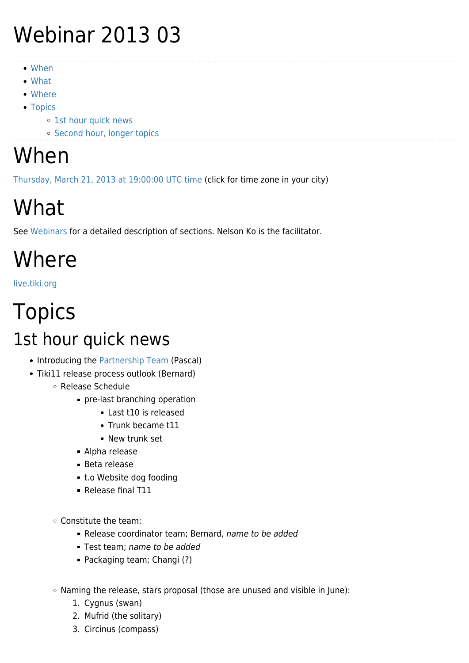# Webinar 2013 03

- [When](#page--1-0)
- [What](#page--1-0)
- [Where](#page--1-0)
- [Topics](#page--1-0)
	- o [1st hour quick news](#page--1-0)
	- o [Second hour, longer topics](#page--1-0)

#### When

[Thursday, March 21, 2013 at 19:00:00 UTC time](http://www.timeanddate.com/worldclock/fixedtime.html?year=2013&month=3&day=21&hour=19&min=0&sec=0) (click for time zone in your city)

## What

See [Webinars](https://tiki.org/Roundtable-Meetings) for a detailed description of sections. Nelson Ko is the facilitator.

## Where

[live.tiki.org](http://live.tiki.org)

#### Topics 1st hour quick news

- Introducing the [Partnership Team](https://tiki.org/Partnership-Team) (Pascal)
- Tiki11 release process outlook (Bernard)
	- Release Schedule
		- pre-last branching operation
			- Last t10 is released
			- Trunk became t11
			- New trunk set
		- Alpha release
		- Beta release
		- t.o Website dog fooding
		- Release final T11
	- Constitute the team:
		- Release coordinator team; Bernard, name to be added
		- Test team; name to be added
		- Packaging team; Changi (?)
	- Naming the release, stars proposal (those are unused and visible in June):
		- 1. Cygnus (swan)
		- 2. Mufrid (the solitary)
		- 3. Circinus (compass)